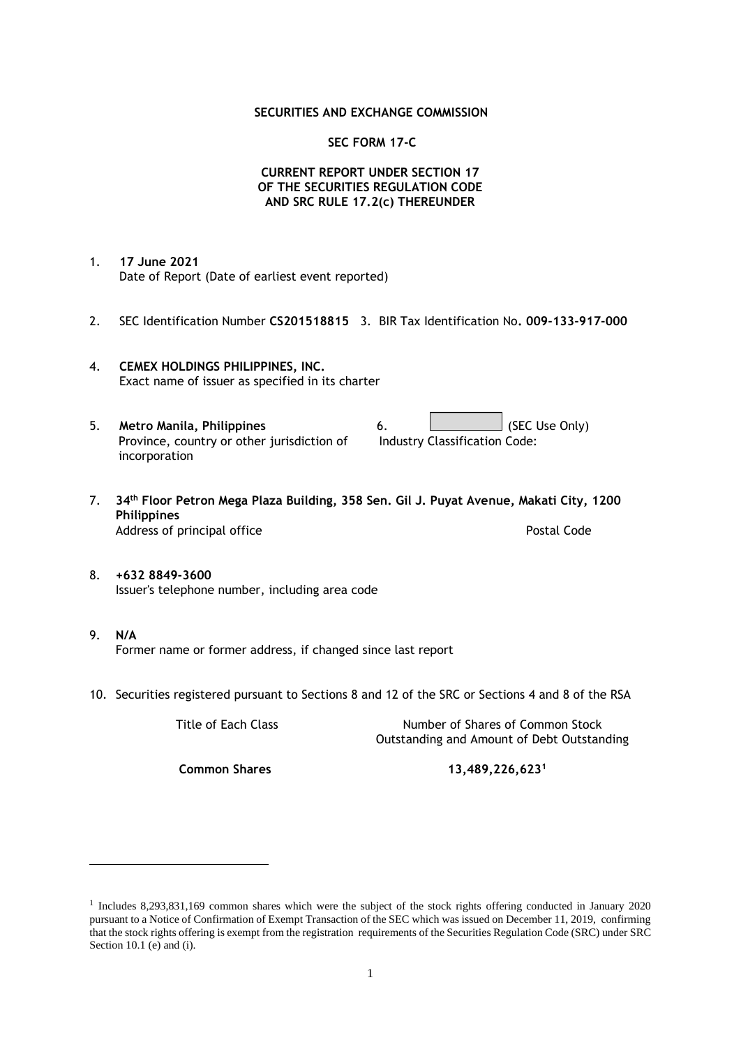### **SECURITIES AND EXCHANGE COMMISSION**

### **SEC FORM 17-C**

## **CURRENT REPORT UNDER SECTION 17 OF THE SECURITIES REGULATION CODE AND SRC RULE 17.2(c) THEREUNDER**

- 1. **17 June 2021** Date of Report (Date of earliest event reported)
- 2. SEC Identification Number **CS201518815** 3. BIR Tax Identification No**. 009-133-917-000**
- 4. **CEMEX HOLDINGS PHILIPPINES, INC.** Exact name of issuer as specified in its charter
- 5. **Metro Manila, Philippines** 6. **Consumers 6.** (SEC Use Only) Province, country or other jurisdiction of incorporation Industry Classification Code:
- 7. **34th Floor Petron Mega Plaza Building, 358 Sen. Gil J. Puyat Avenue, Makati City, 1200 Philippines** Address of principal office **Postal Code** Postal Code
- 8. **+632 8849-3600** Issuer's telephone number, including area code
- 9. **N/A** Former name or former address, if changed since last report
- 10. Securities registered pursuant to Sections 8 and 12 of the SRC or Sections 4 and 8 of the RSA

Title of Each Class Number of Shares of Common Stock Outstanding and Amount of Debt Outstanding

**Common Shares 13,489,226,623<sup>1</sup>**

<sup>1</sup> Includes 8,293,831,169 common shares which were the subject of the stock rights offering conducted in January 2020 pursuant to a Notice of Confirmation of Exempt Transaction of the SEC which was issued on December 11, 2019, confirming that the stock rights offering is exempt from the registration requirements of the Securities Regulation Code (SRC) under SRC Section 10.1 (e) and (i).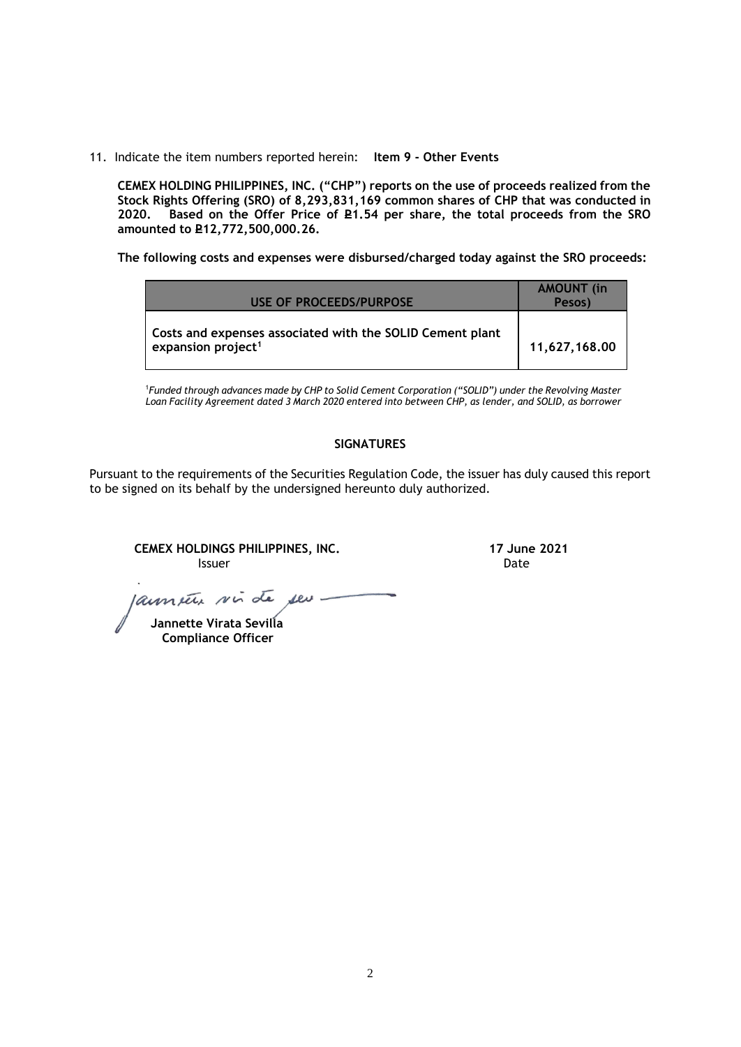11. Indicate the item numbers reported herein: **Item 9 - Other Events**

**CEMEX HOLDING PHILIPPINES, INC. ("CHP") reports on the use of proceeds realized from the Stock Rights Offering (SRO) of 8,293,831,169 common shares of CHP that was conducted in**  Based on the Offer Price of £1.54 per share, the total proceeds from the SRO **amounted to P12,772,500,000.26.** 

**The following costs and expenses were disbursed/charged today against the SRO proceeds:**

| USE OF PROCEEDS/PURPOSE                                                                     | <b>AMOUNT</b> (in<br>Pesos) |
|---------------------------------------------------------------------------------------------|-----------------------------|
| Costs and expenses associated with the SOLID Cement plant<br>expansion project <sup>1</sup> | 11,627,168.00               |

<sup>1</sup>*Funded through advances made by CHP to Solid Cement Corporation ("SOLID") under the Revolving Master Loan Facility Agreement dated 3 March 2020 entered into between CHP, as lender, and SOLID, as borrower*

# **SIGNATURES**

Pursuant to the requirements of the Securities Regulation Code, the issuer has duly caused this report to be signed on its behalf by the undersigned hereunto duly authorized.

**CEMEX HOLDINGS PHILIPPINES, INC. 17 June 2021 Issuer Community Community Community** Community Community Community Community Community Community Community Comm

aument vir de seu

 **Jannette Virata Sevilla Compliance Officer**